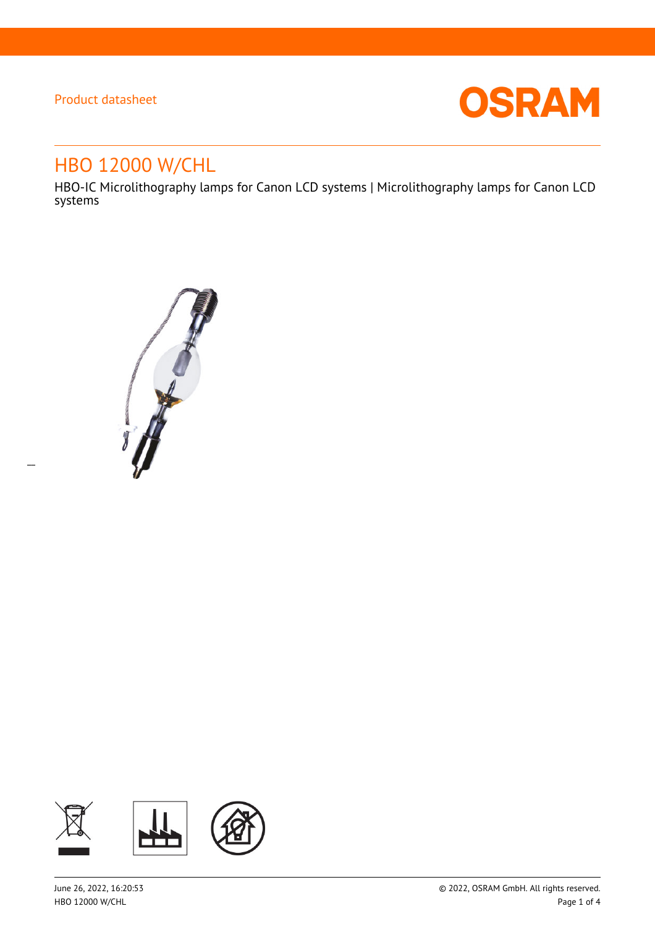$\overline{a}$ 



# HBO 12000 W/CHL

HBO-IC Microlithography lamps for Canon LCD systems | Microlithography lamps for Canon LCD systems



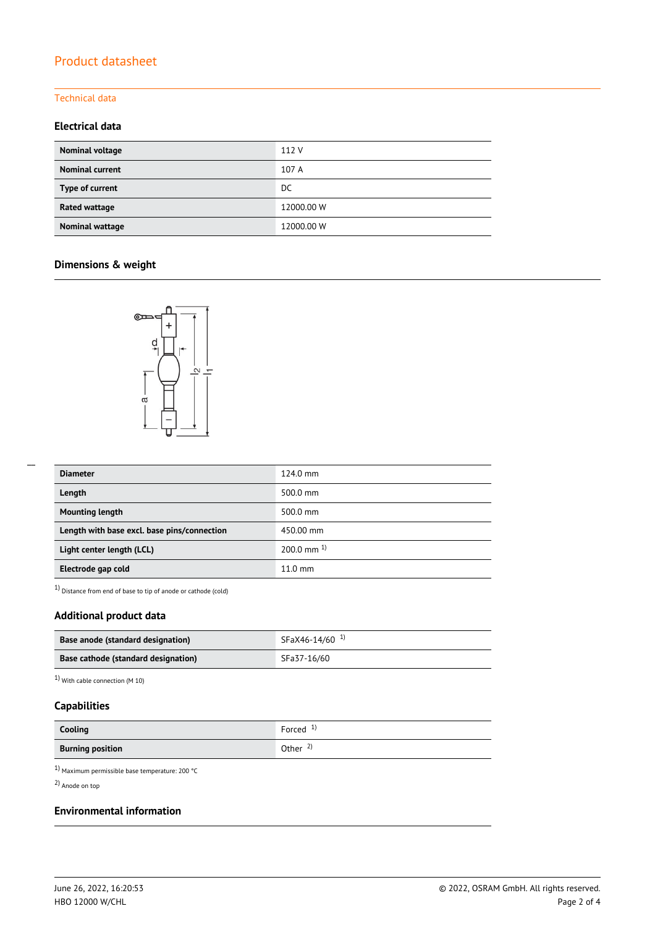#### Technical data

### **Electrical data**

| <b>Nominal voltage</b> | 112 V      |
|------------------------|------------|
| <b>Nominal current</b> | 107 A      |
| Type of current        | DC.        |
| <b>Rated wattage</b>   | 12000.00 W |
| <b>Nominal wattage</b> | 12000.00 W |

### **Dimensions & weight**



| <b>Diameter</b>                             | 124.0 mm          |
|---------------------------------------------|-------------------|
| Length                                      | 500.0 mm          |
| <b>Mounting length</b>                      | 500.0 mm          |
| Length with base excl. base pins/connection | 450.00 mm         |
| Light center length (LCL)                   | $200.0$ mm $^{1}$ |
| Electrode gap cold                          | $11.0 \text{ mm}$ |

1) Distance from end of base to tip of anode or cathode (cold)

### **Additional product data**

| Base anode (standard designation)   | SFaX46-14/60 <sup>1)</sup> |
|-------------------------------------|----------------------------|
| Base cathode (standard designation) | SFa37-16/60                |

1) With cable connection (M 10)

### **Capabilities**

| Cooling                 | Forced $1$          |
|-------------------------|---------------------|
| <b>Burning position</b> | Other $\frac{2}{3}$ |

1) Maximum permissible base temperature: 200 °C

2) Anode on top

#### **Environmental information**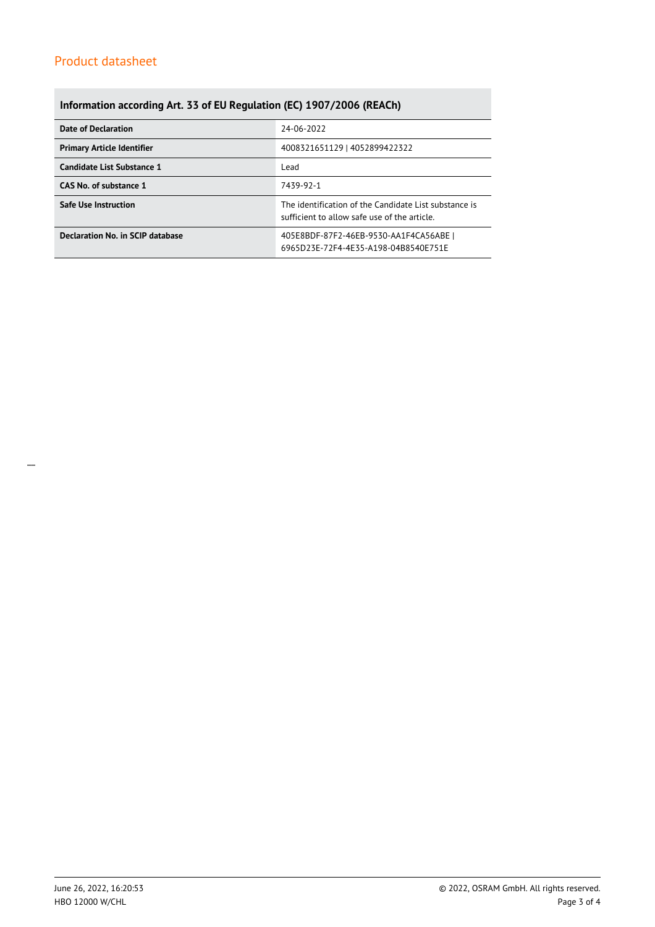### **Information according Art. 33 of EU Regulation (EC) 1907/2006 (REACh)**

| <b>Date of Declaration</b>        | 24-06-2022                                                                                            |  |  |
|-----------------------------------|-------------------------------------------------------------------------------------------------------|--|--|
| <b>Primary Article Identifier</b> | 4008321651129   4052899422322                                                                         |  |  |
| Candidate List Substance 1        | Lead                                                                                                  |  |  |
| CAS No. of substance 1            | 7439-92-1                                                                                             |  |  |
| <b>Safe Use Instruction</b>       | The identification of the Candidate List substance is<br>sufficient to allow safe use of the article. |  |  |
| Declaration No. in SCIP database  | 405E8BDF-87F2-46EB-9530-AA1F4CA56ABE  <br>6965D23E-72F4-4E35-A198-04B8540E751E                        |  |  |